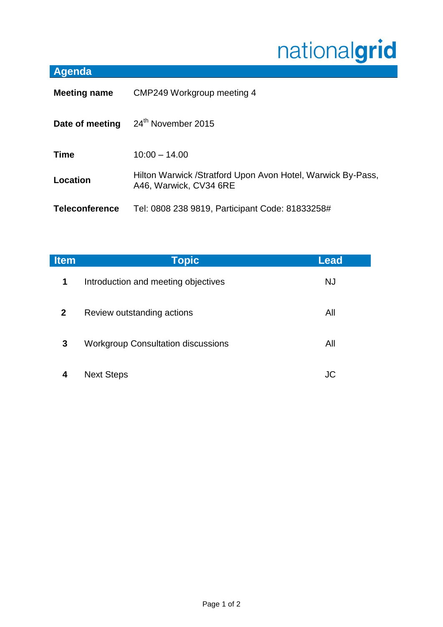## nationalgrid

## **Agenda**

| <b>Meeting name</b>   | CMP249 Workgroup meeting 4                                                            |  |
|-----------------------|---------------------------------------------------------------------------------------|--|
| Date of meeting       | 24th November 2015                                                                    |  |
| <b>Time</b>           | $10:00 - 14.00$                                                                       |  |
| Location              | Hilton Warwick /Stratford Upon Avon Hotel, Warwick By-Pass,<br>A46, Warwick, CV34 6RE |  |
| <b>Teleconference</b> | Tel: 0808 238 9819, Participant Code: 81833258#                                       |  |

| <b>Item</b>  | <b>Topic</b>                              | Lead      |
|--------------|-------------------------------------------|-----------|
| $\mathbf 1$  | Introduction and meeting objectives       | <b>NJ</b> |
| $\mathbf{2}$ | Review outstanding actions                | All       |
| 3            | <b>Workgroup Consultation discussions</b> | All       |
|              | <b>Next Steps</b>                         | JC        |